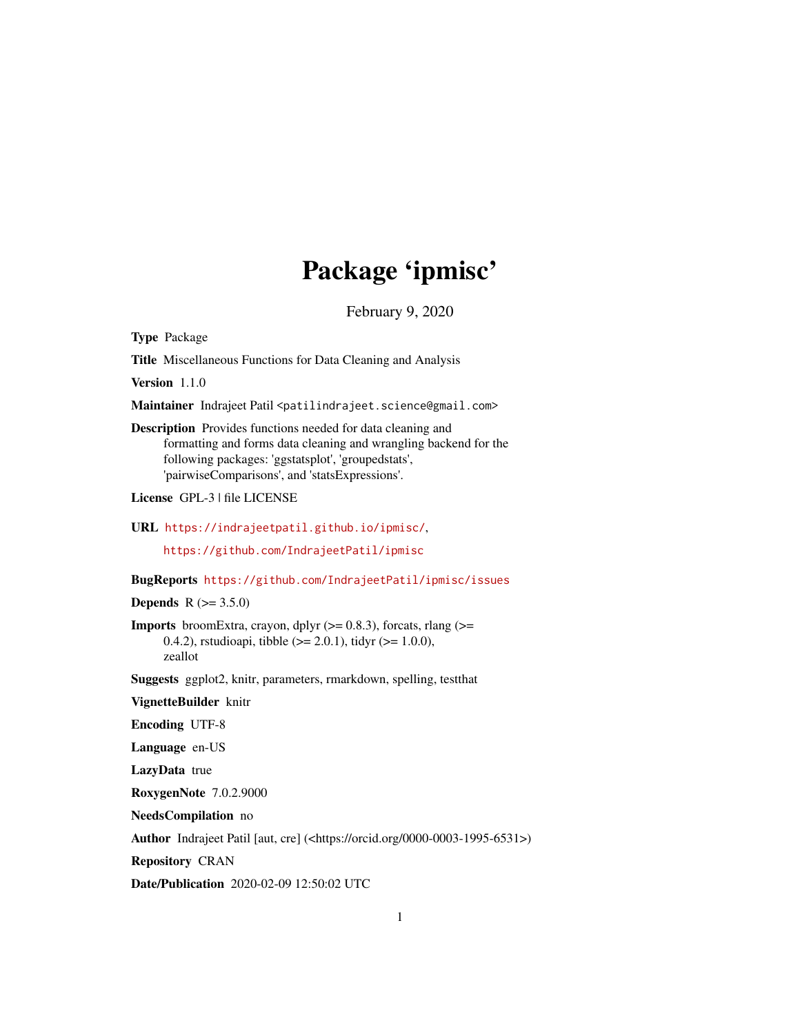## Package 'ipmisc'

February 9, 2020

Type Package

Title Miscellaneous Functions for Data Cleaning and Analysis

Version 1.1.0

Maintainer Indrajeet Patil <patilindrajeet.science@gmail.com>

Description Provides functions needed for data cleaning and formatting and forms data cleaning and wrangling backend for the following packages: 'ggstatsplot', 'groupedstats', 'pairwiseComparisons', and 'statsExpressions'.

License GPL-3 | file LICENSE

URL <https://indrajeetpatil.github.io/ipmisc/>,

<https://github.com/IndrajeetPatil/ipmisc>

BugReports <https://github.com/IndrajeetPatil/ipmisc/issues>

**Depends** R  $(>= 3.5.0)$ 

**Imports** broomExtra, crayon, dplyr  $(>= 0.8.3)$ , forcats, rlang  $(>= 0.8.3)$ 0.4.2), rstudioapi, tibble  $(>= 2.0.1)$ , tidyr  $(>= 1.0.0)$ , zeallot

Suggests ggplot2, knitr, parameters, rmarkdown, spelling, testthat

VignetteBuilder knitr

Encoding UTF-8

Language en-US

LazyData true

RoxygenNote 7.0.2.9000

NeedsCompilation no

Author Indrajeet Patil [aut, cre] (<https://orcid.org/0000-0003-1995-6531>)

Repository CRAN

Date/Publication 2020-02-09 12:50:02 UTC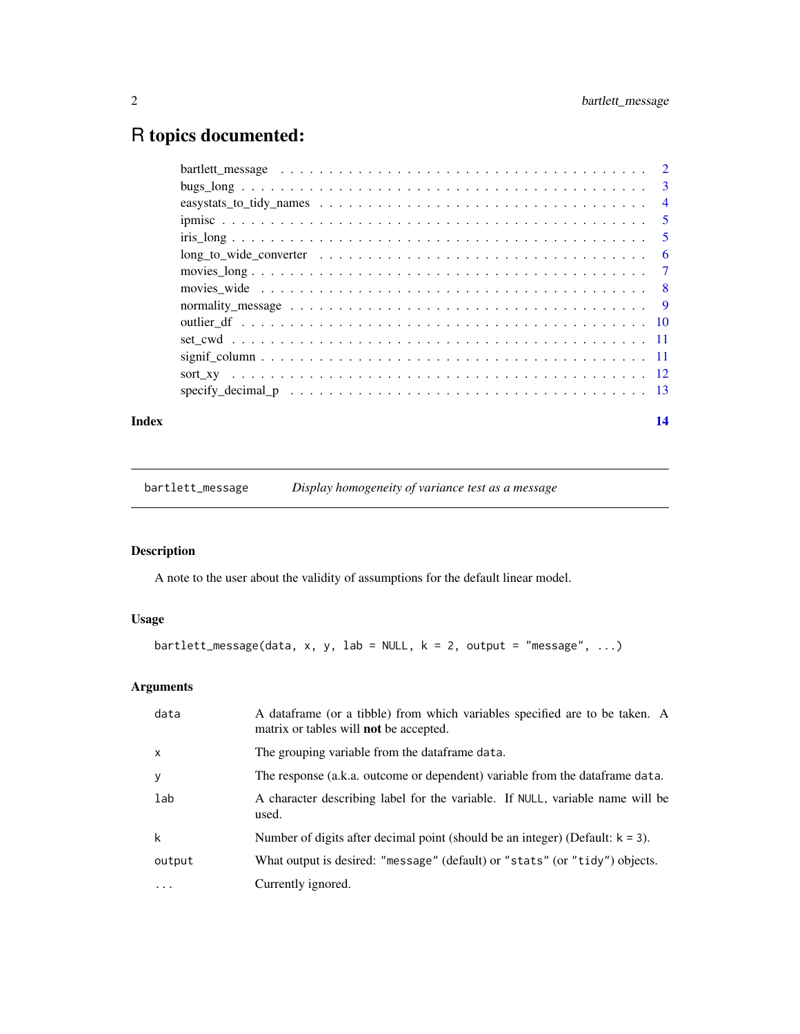### <span id="page-1-0"></span>R topics documented:

|                                                                                                               | $\overline{3}$ |
|---------------------------------------------------------------------------------------------------------------|----------------|
|                                                                                                               | $\overline{4}$ |
|                                                                                                               | 5              |
|                                                                                                               | - 5            |
| $long_to_wide\_converter \dots \dots \dots \dots \dots \dots \dots \dots \dots \dots \dots \dots \dots \dots$ | - 6            |
|                                                                                                               |                |
|                                                                                                               |                |
|                                                                                                               |                |
|                                                                                                               |                |
|                                                                                                               |                |
|                                                                                                               |                |
|                                                                                                               |                |
|                                                                                                               |                |
|                                                                                                               |                |

#### **Index** 2008 **[14](#page-13-0)**

bartlett\_message *Display homogeneity of variance test as a message*

#### Description

A note to the user about the validity of assumptions for the default linear model.

#### Usage

```
bartlett_message(data, x, y, lab = NULL, k = 2, output = "message", ...)
```
#### Arguments

| data         | A dataframe (or a tibble) from which variables specified are to be taken. A<br>matrix or tables will <b>not</b> be accepted. |
|--------------|------------------------------------------------------------------------------------------------------------------------------|
| $\mathsf{x}$ | The grouping variable from the dataframe data.                                                                               |
| y            | The response (a.k.a. outcome or dependent) variable from the data frame data.                                                |
| lab          | A character describing label for the variable. If NULL, variable name will be<br>used.                                       |
| k            | Number of digits after decimal point (should be an integer) (Default: $k = 3$ ).                                             |
| output       | What output is desired: "message" (default) or "stats" (or "tidy") objects.                                                  |
| $\ddotsc$    | Currently ignored.                                                                                                           |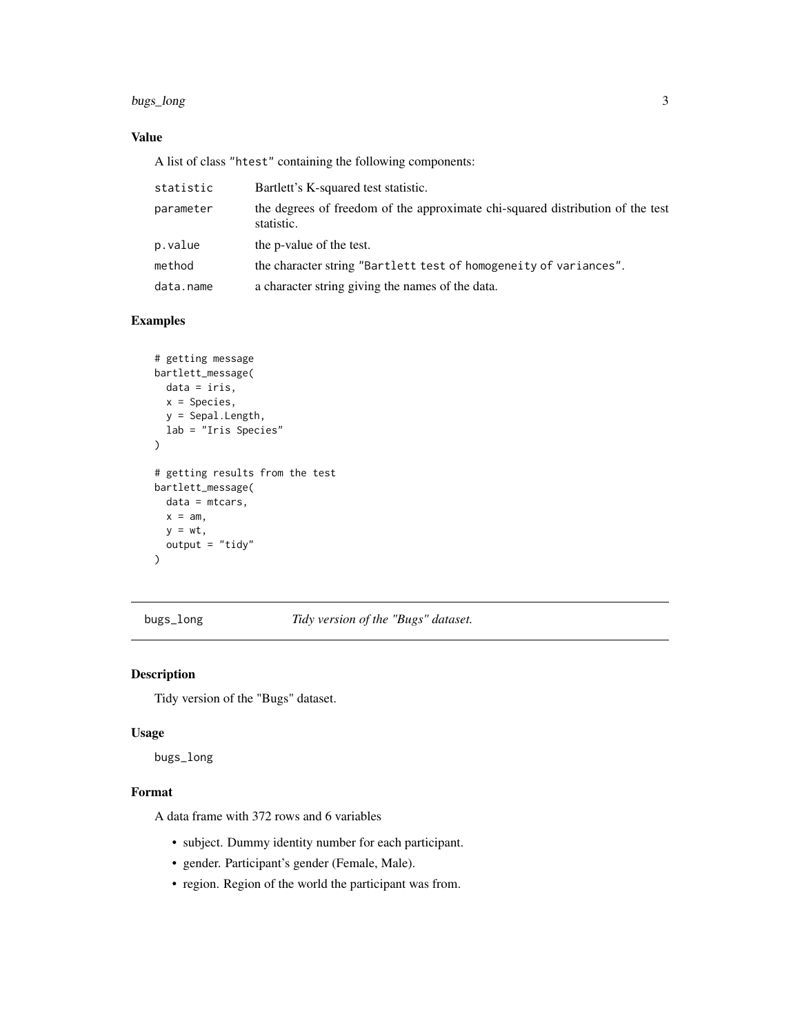#### <span id="page-2-0"></span>bugs\_long 3

#### Value

A list of class "htest" containing the following components:

| statistic | Bartlett's K-squared test statistic.                                                         |
|-----------|----------------------------------------------------------------------------------------------|
| parameter | the degrees of freedom of the approximate chi-squared distribution of the test<br>statistic. |
| p.value   | the p-value of the test.                                                                     |
| method    | the character string "Bartlett test of homogeneity of variances".                            |
| data.name | a character string giving the names of the data.                                             |

#### Examples

```
# getting message
bartlett_message(
 data = iris,
 x = Species,
  y = Sepal.Length,
  lab = "Iris Species"
\mathcal{L}# getting results from the test
bartlett_message(
 data = mtcars,
  x = am,y = wt,output = "tidy")
```
bugs\_long *Tidy version of the "Bugs" dataset.*

#### Description

Tidy version of the "Bugs" dataset.

#### Usage

bugs\_long

#### Format

A data frame with 372 rows and 6 variables

- subject. Dummy identity number for each participant.
- gender. Participant's gender (Female, Male).
- region. Region of the world the participant was from.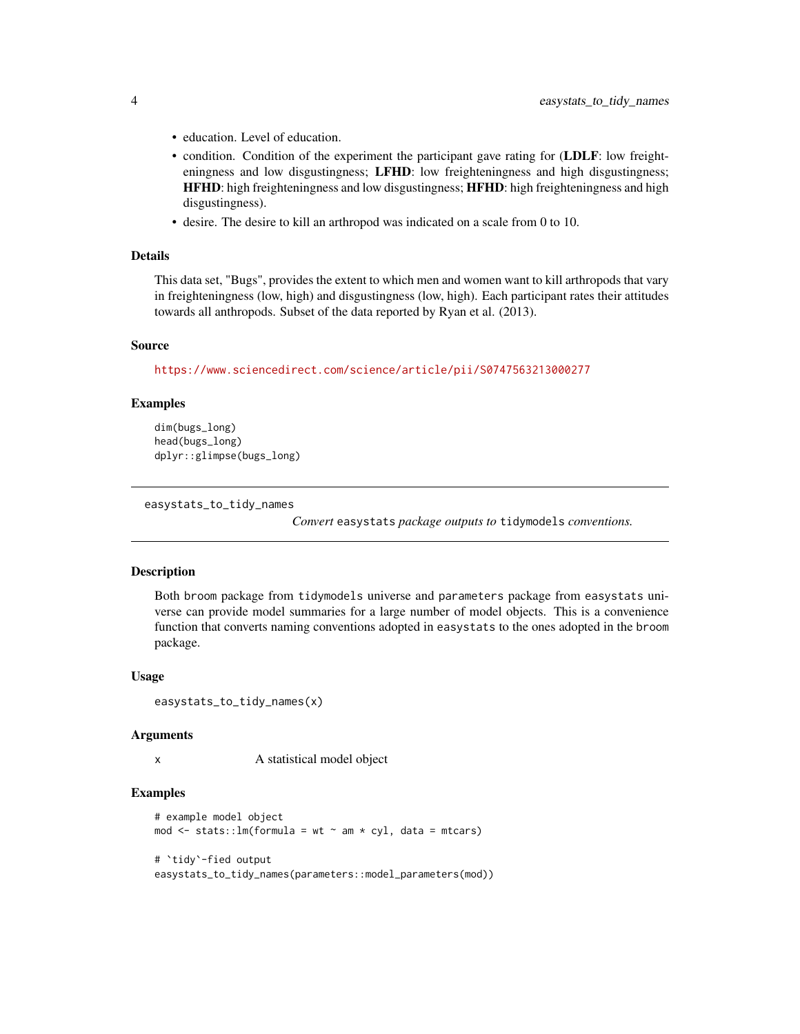- education. Level of education.
- condition. Condition of the experiment the participant gave rating for (LDLF: low freighteningness and low disgustingness; LFHD: low freighteningness and high disgustingness; HFHD: high freighteningness and low disgustingness; HFHD: high freighteningness and high disgustingness).
- desire. The desire to kill an arthropod was indicated on a scale from 0 to 10.

#### Details

This data set, "Bugs", provides the extent to which men and women want to kill arthropods that vary in freighteningness (low, high) and disgustingness (low, high). Each participant rates their attitudes towards all anthropods. Subset of the data reported by Ryan et al. (2013).

#### Source

<https://www.sciencedirect.com/science/article/pii/S0747563213000277>

#### Examples

```
dim(bugs_long)
head(bugs_long)
dplyr::glimpse(bugs_long)
```
easystats\_to\_tidy\_names

*Convert* easystats *package outputs to* tidymodels *conventions.*

#### **Description**

Both broom package from tidymodels universe and parameters package from easystats universe can provide model summaries for a large number of model objects. This is a convenience function that converts naming conventions adopted in easystats to the ones adopted in the broom package.

#### Usage

```
easystats_to_tidy_names(x)
```
#### Arguments

x A statistical model object

```
# example model object
mod \le stats:: lm(formula = wt \sim am \star cyl, data = mtcars)
# `tidy`-fied output
easystats_to_tidy_names(parameters::model_parameters(mod))
```
<span id="page-3-0"></span>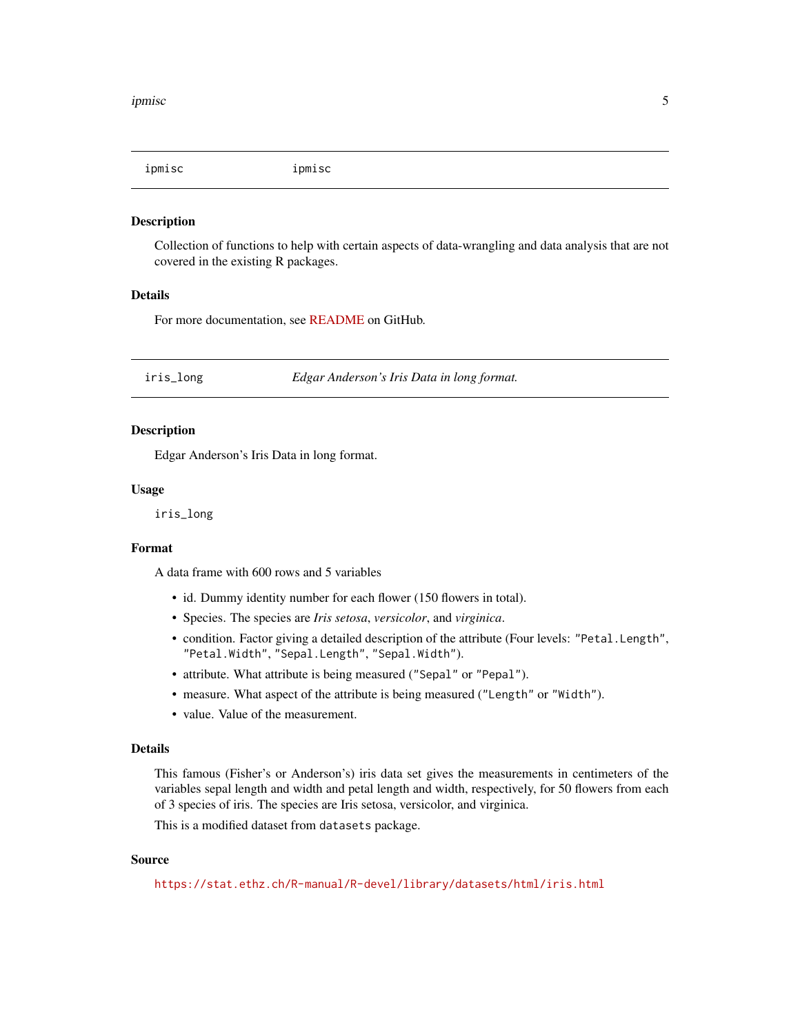<span id="page-4-0"></span>

Collection of functions to help with certain aspects of data-wrangling and data analysis that are not covered in the existing R packages.

#### Details

For more documentation, see [README](https://github.com/IndrajeetPatil/ipmisc) on GitHub.

iris\_long *Edgar Anderson's Iris Data in long format.*

#### Description

Edgar Anderson's Iris Data in long format.

#### Usage

iris\_long

#### Format

A data frame with 600 rows and 5 variables

- id. Dummy identity number for each flower (150 flowers in total).
- Species. The species are *Iris setosa*, *versicolor*, and *virginica*.
- condition. Factor giving a detailed description of the attribute (Four levels: "Petal.Length", "Petal.Width", "Sepal.Length", "Sepal.Width").
- attribute. What attribute is being measured ("Sepal" or "Pepal").
- measure. What aspect of the attribute is being measured ("Length" or "Width").
- value. Value of the measurement.

#### Details

This famous (Fisher's or Anderson's) iris data set gives the measurements in centimeters of the variables sepal length and width and petal length and width, respectively, for 50 flowers from each of 3 species of iris. The species are Iris setosa, versicolor, and virginica.

This is a modified dataset from datasets package.

#### Source

<https://stat.ethz.ch/R-manual/R-devel/library/datasets/html/iris.html>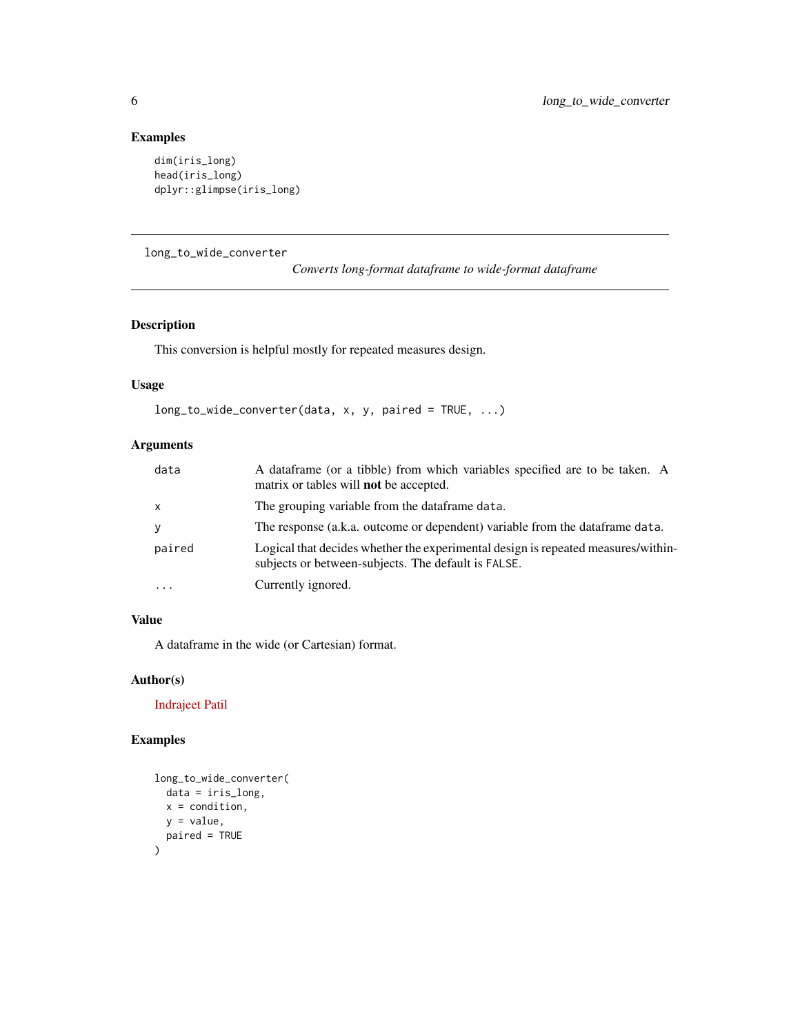#### Examples

```
dim(iris_long)
head(iris_long)
dplyr::glimpse(iris_long)
```
long\_to\_wide\_converter

```
Converts long-format dataframe to wide-format dataframe
```
#### Description

This conversion is helpful mostly for repeated measures design.

#### Usage

```
long_to_wide_converter(data, x, y, paired = TRUE, ...)
```
#### Arguments

| data     | A dataframe (or a tibble) from which variables specified are to be taken. A<br>matrix or tables will <b>not</b> be accepted.             |
|----------|------------------------------------------------------------------------------------------------------------------------------------------|
| X        | The grouping variable from the dataframe data.                                                                                           |
| V        | The response (a.k.a. outcome or dependent) variable from the data frame data.                                                            |
| paired   | Logical that decides whether the experimental design is repeated measures/within-<br>subjects or between-subjects. The default is FALSE. |
| $\cdots$ | Currently ignored.                                                                                                                       |

#### Value

A dataframe in the wide (or Cartesian) format.

#### Author(s)

[Indrajeet Patil](https://github.com/IndrajeetPatil)

```
long_to_wide_converter(
  data = iris_long,
  x = condition,
  y = value,
  paired = TRUE
)
```
<span id="page-5-0"></span>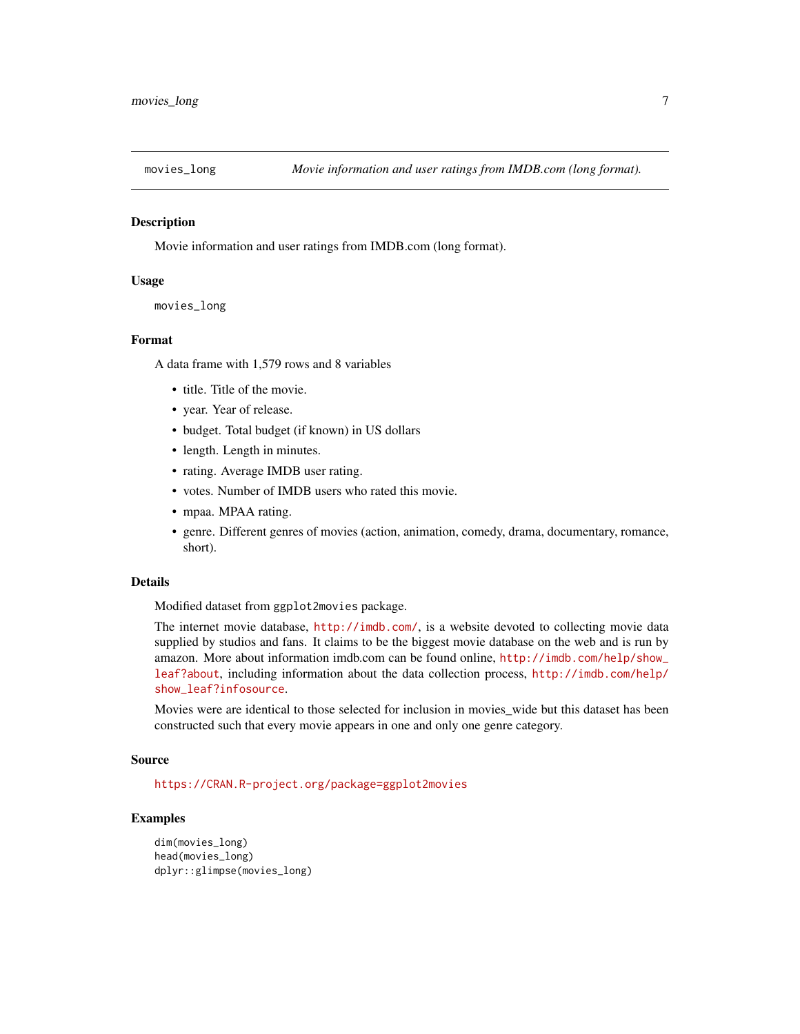<span id="page-6-0"></span>

Movie information and user ratings from IMDB.com (long format).

#### Usage

```
movies_long
```
#### Format

A data frame with 1,579 rows and 8 variables

- title. Title of the movie.
- year. Year of release.
- budget. Total budget (if known) in US dollars
- length. Length in minutes.
- rating. Average IMDB user rating.
- votes. Number of IMDB users who rated this movie.
- mpaa. MPAA rating.
- genre. Different genres of movies (action, animation, comedy, drama, documentary, romance, short).

#### Details

Modified dataset from ggplot2movies package.

The internet movie database, <http://imdb.com/>, is a website devoted to collecting movie data supplied by studios and fans. It claims to be the biggest movie database on the web and is run by amazon. More about information imdb.com can be found online, [http://imdb.com/help/show\\_](http://imdb.com/help/show_leaf?about) [leaf?about](http://imdb.com/help/show_leaf?about), including information about the data collection process, [http://imdb.com/help/](http://imdb.com/help/show_leaf?infosource) [show\\_leaf?infosource](http://imdb.com/help/show_leaf?infosource).

Movies were are identical to those selected for inclusion in movies\_wide but this dataset has been constructed such that every movie appears in one and only one genre category.

#### Source

<https://CRAN.R-project.org/package=ggplot2movies>

```
dim(movies_long)
head(movies_long)
dplyr::glimpse(movies_long)
```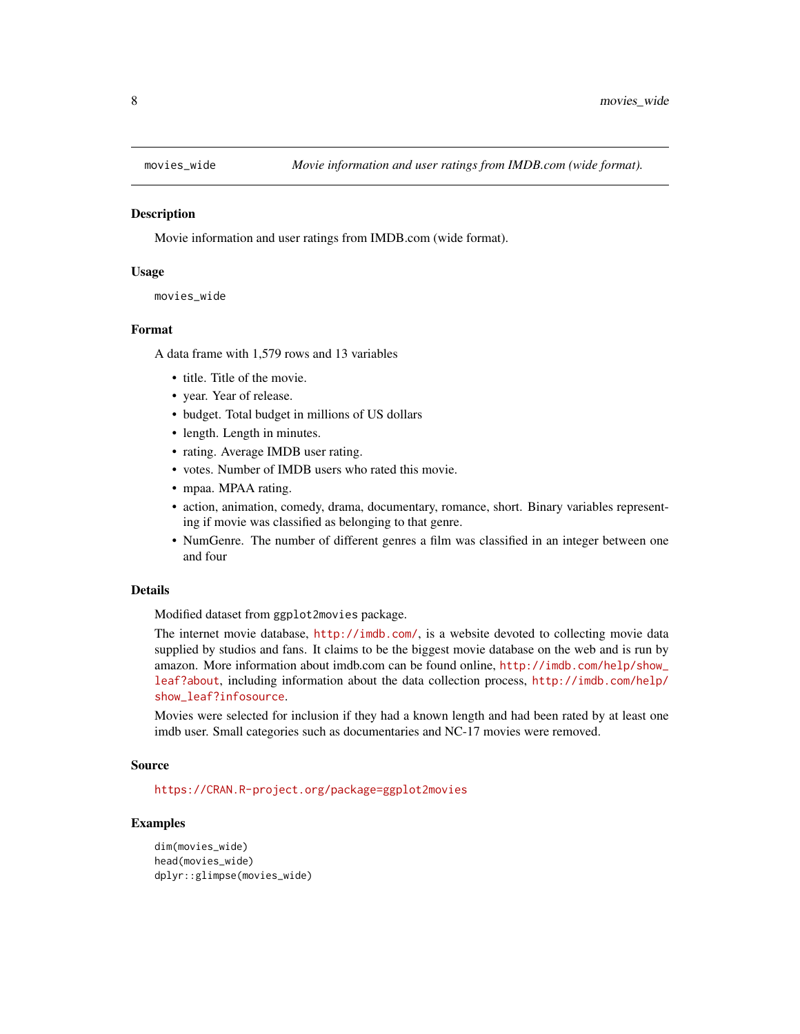<span id="page-7-0"></span>

Movie information and user ratings from IMDB.com (wide format).

#### Usage

```
movies_wide
```
#### Format

A data frame with 1,579 rows and 13 variables

- title. Title of the movie.
- year. Year of release.
- budget. Total budget in millions of US dollars
- length. Length in minutes.
- rating. Average IMDB user rating.
- votes. Number of IMDB users who rated this movie.
- mpaa. MPAA rating.
- action, animation, comedy, drama, documentary, romance, short. Binary variables representing if movie was classified as belonging to that genre.
- NumGenre. The number of different genres a film was classified in an integer between one and four

#### Details

Modified dataset from ggplot2movies package.

The internet movie database, <http://imdb.com/>, is a website devoted to collecting movie data supplied by studios and fans. It claims to be the biggest movie database on the web and is run by amazon. More information about imdb.com can be found online, [http://imdb.com/help/show\\_](http://imdb.com/help/show_leaf?about) [leaf?about](http://imdb.com/help/show_leaf?about), including information about the data collection process, [http://imdb.com/help/](http://imdb.com/help/show_leaf?infosource) [show\\_leaf?infosource](http://imdb.com/help/show_leaf?infosource).

Movies were selected for inclusion if they had a known length and had been rated by at least one imdb user. Small categories such as documentaries and NC-17 movies were removed.

#### Source

<https://CRAN.R-project.org/package=ggplot2movies>

```
dim(movies_wide)
head(movies_wide)
dplyr::glimpse(movies_wide)
```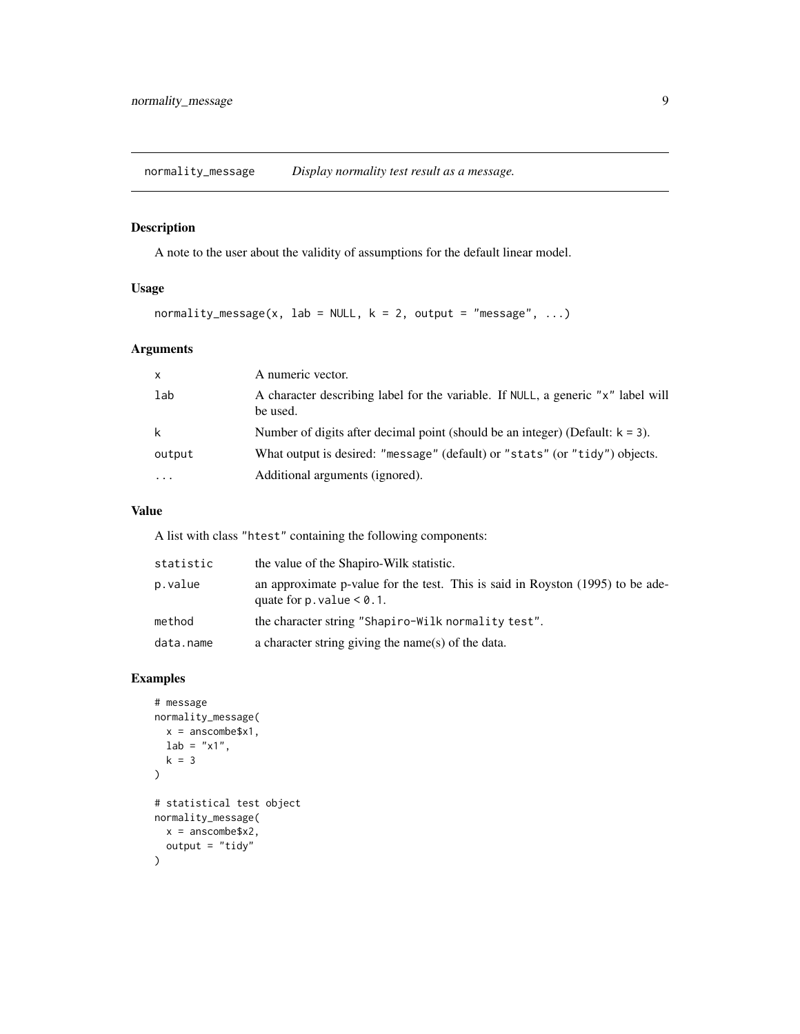<span id="page-8-0"></span>normality\_message *Display normality test result as a message.*

#### Description

A note to the user about the validity of assumptions for the default linear model.

#### Usage

```
normality_message(x, lab = NULL, k = 2, output = "message", ...)
```
#### Arguments

| $\mathsf{x}$ | A numeric vector.                                                                            |
|--------------|----------------------------------------------------------------------------------------------|
| lab          | A character describing label for the variable. If NULL, a generic "x" label will<br>be used. |
| k            | Number of digits after decimal point (should be an integer) (Default: $k = 3$ ).             |
| output       | What output is desired: "message" (default) or "stats" (or "tidy") objects.                  |
| .            | Additional arguments (ignored).                                                              |

#### Value

A list with class "htest" containing the following components:

| statistic | the value of the Shapiro-Wilk statistic.                                                                          |
|-----------|-------------------------------------------------------------------------------------------------------------------|
| p.value   | an approximate p-value for the test. This is said in Royston (1995) to be ade-<br>quate for $p$ . value $< 0.1$ . |
| method    | the character string "Shapiro-Wilk normality test".                                                               |
| data.name | a character string giving the name(s) of the data.                                                                |

```
# message
normality_message(
 x = anscombe$x1,
  lab = "x1",k = 3
)
# statistical test object
normality_message(
  x = anscombe$x2,
  output = "tidy"
\overline{\phantom{a}}
```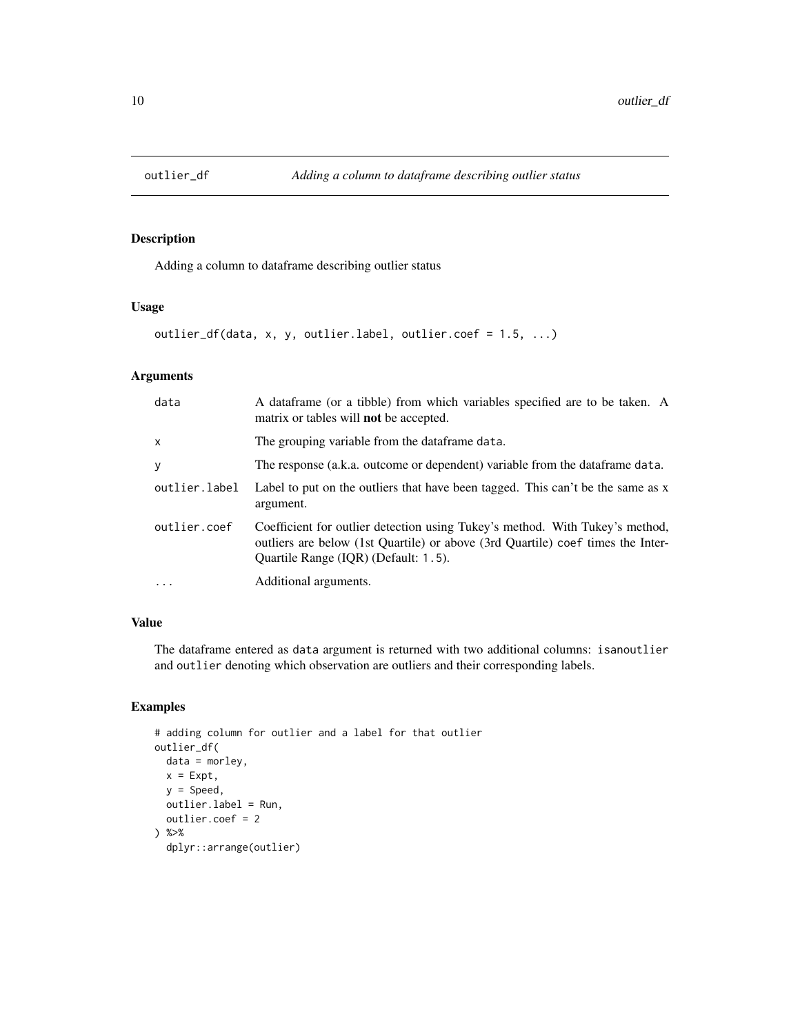<span id="page-9-0"></span>

Adding a column to dataframe describing outlier status

#### Usage

```
outlier_df(data, x, y, outlier.label, outlier.coef = 1.5, ...)
```
#### Arguments

| data          | A data frame (or a tibble) from which variables specified are to be taken. A<br>matrix or tables will <b>not</b> be accepted.                                                                           |
|---------------|---------------------------------------------------------------------------------------------------------------------------------------------------------------------------------------------------------|
| x             | The grouping variable from the dataframe data.                                                                                                                                                          |
| У             | The response (a.k.a. outcome or dependent) variable from the data frame data.                                                                                                                           |
| outlier.label | Label to put on the outliers that have been tagged. This can't be the same as x<br>argument.                                                                                                            |
| outlier.coef  | Coefficient for outlier detection using Tukey's method. With Tukey's method,<br>outliers are below (1st Quartile) or above (3rd Quartile) coef times the Inter-<br>Quartile Range (IQR) (Default: 1.5). |
| $\cdots$      | Additional arguments.                                                                                                                                                                                   |

#### Value

The dataframe entered as data argument is returned with two additional columns: isanoutlier and outlier denoting which observation are outliers and their corresponding labels.

```
# adding column for outlier and a label for that outlier
outlier_df(
  data = morley,
  x = Expt,
  y = Speed,
  outlier.label = Run,
  outlier.coef = 2
) %>%
  dplyr::arrange(outlier)
```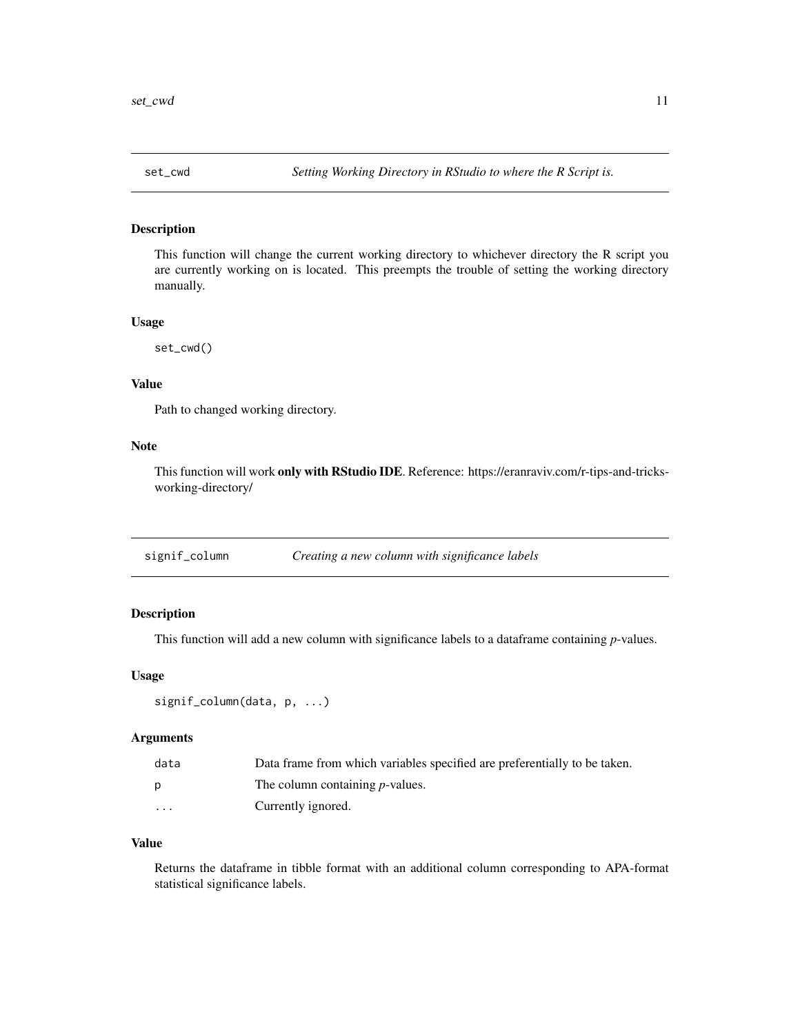<span id="page-10-0"></span>

This function will change the current working directory to whichever directory the R script you are currently working on is located. This preempts the trouble of setting the working directory manually.

#### Usage

set\_cwd()

#### Value

Path to changed working directory.

#### Note

This function will work only with RStudio IDE. Reference: https://eranraviv.com/r-tips-and-tricksworking-directory/

signif\_column *Creating a new column with significance labels*

#### Description

This function will add a new column with significance labels to a dataframe containing *p*-values.

#### Usage

```
signif_column(data, p, ...)
```
#### Arguments

| data | Data frame from which variables specified are preferentially to be taken. |
|------|---------------------------------------------------------------------------|
| D    | The column containing <i>p</i> -values.                                   |
| .    | Currently ignored.                                                        |

#### Value

Returns the dataframe in tibble format with an additional column corresponding to APA-format statistical significance labels.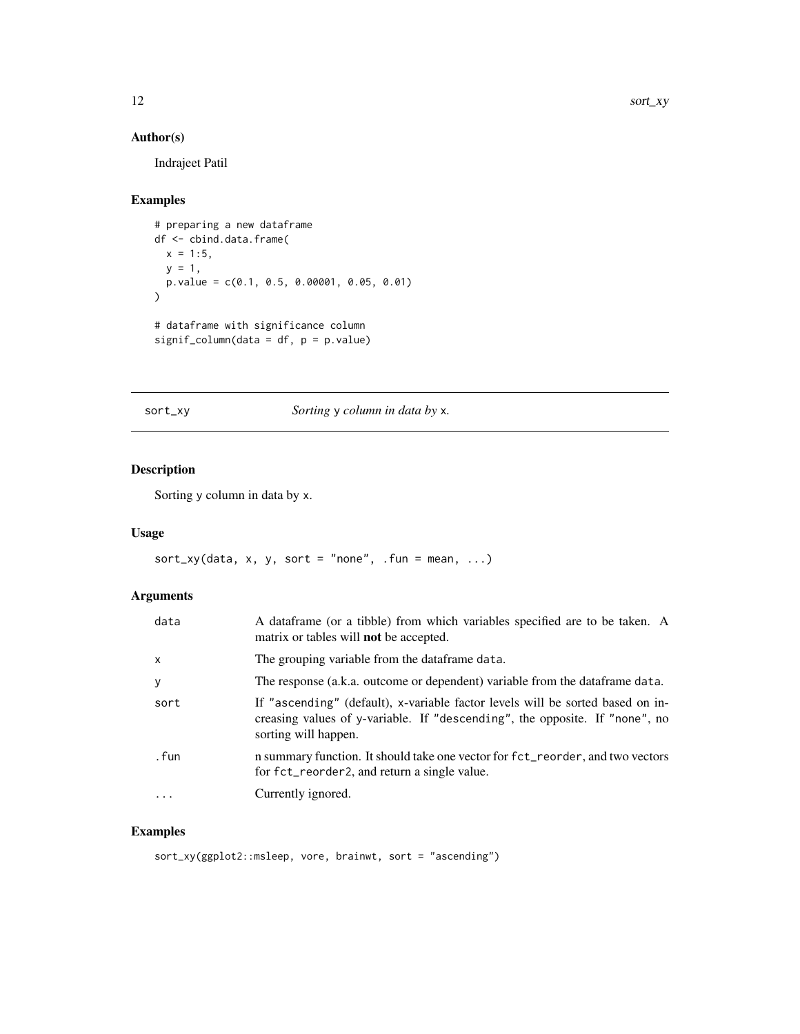#### Author(s)

Indrajeet Patil

#### Examples

```
# preparing a new dataframe
df <- cbind.data.frame(
 x = 1:5,
 y = 1,
 p.value = c(0.1, 0.5, 0.00001, 0.05, 0.01)
\mathcal{L}# dataframe with significance column
signif_column(data = df, p = p.value)
```
sort\_xy *Sorting* y *column in data by* x*.*

#### Description

Sorting y column in data by x.

#### Usage

 $sort_{xy}(data, x, y, sort = "none", .fun = mean, ...)$ 

#### Arguments

| data     | A data frame (or a tibble) from which variables specified are to be taken. A<br>matrix or tables will <b>not</b> be accepted.                                                         |
|----------|---------------------------------------------------------------------------------------------------------------------------------------------------------------------------------------|
| $\times$ | The grouping variable from the dataframe data.                                                                                                                                        |
| У        | The response (a.k.a. outcome or dependent) variable from the data frame data.                                                                                                         |
| sort     | If "ascending" (default), x-variable factor levels will be sorted based on in-<br>creasing values of y-variable. If "descending", the opposite. If "none", no<br>sorting will happen. |
| . fun    | n summary function. It should take one vector for fct_reorder, and two vectors<br>for fct_reorder2, and return a single value.                                                        |
| $\cdot$  | Currently ignored.                                                                                                                                                                    |
|          |                                                                                                                                                                                       |

#### Examples

sort\_xy(ggplot2::msleep, vore, brainwt, sort = "ascending")

<span id="page-11-0"></span>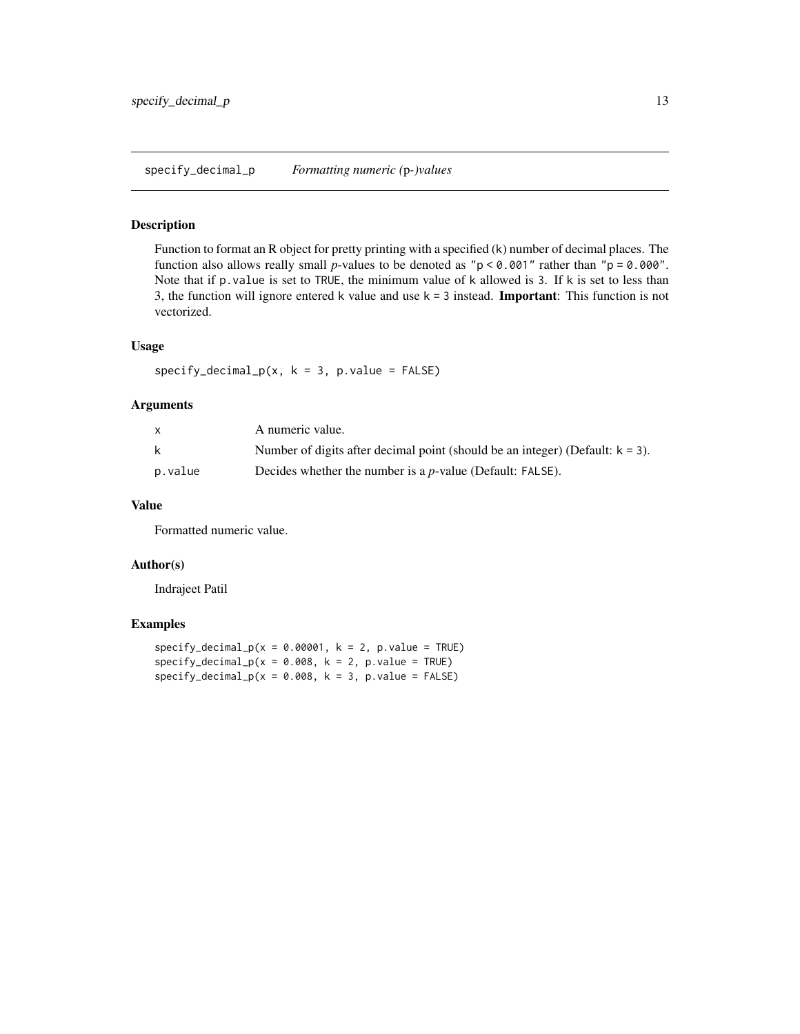<span id="page-12-0"></span>Function to format an R object for pretty printing with a specified (k) number of decimal places. The function also allows really small *p*-values to be denoted as " $p < 0.001$ " rather than " $p = 0.000$ ". Note that if p.value is set to TRUE, the minimum value of k allowed is 3. If k is set to less than 3, the function will ignore entered k value and use  $k = 3$  instead. **Important**: This function is not vectorized.

#### Usage

 $specificity\_decimal_p(x, k = 3, p.value = FALSE)$ 

#### Arguments

|         | A numeric value.                                                                 |
|---------|----------------------------------------------------------------------------------|
| k       | Number of digits after decimal point (should be an integer) (Default: $k = 3$ ). |
| p.value | Decides whether the number is a $p$ -value (Default: FALSE).                     |

#### Value

Formatted numeric value.

#### Author(s)

Indrajeet Patil

```
specificity\_decimal_p(x = 0.00001, k = 2, p.value = TRUE)specificity\_decimal_p(x = 0.008, k = 2, p.value = TRUE)specificity\_decimal_p(x = 0.008, k = 3, p.value = FALSE)
```